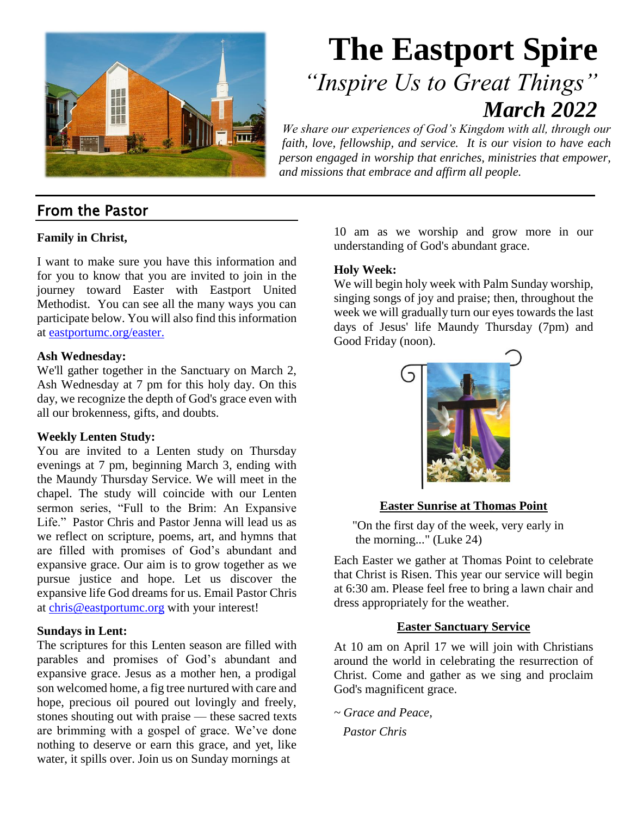

# **The Eastport Spire**  *"Inspire Us to Great Things" March 2022*

*We share our experiences of God's Kingdom with all, through our faith, love, fellowship, and service. It is our vision to have each person engaged in worship that enriches, ministries that empower, and missions that embrace and affirm all people.*

### From the Pastor

### **Family in Christ,**

I want to make sure you have this information and for you to know that you are invited to join in the journey toward Easter with Eastport United Methodist. You can see all the many ways you can participate below. You will also find this information at [eastportumc.org/easter.](http://eastportumc.org/easter)

#### **Ash Wednesday:**

We'll gather together in the Sanctuary on March 2, Ash Wednesday at 7 pm for this holy day. On this day, we recognize the depth of God's grace even with all our brokenness, gifts, and doubts.

### **Weekly Lenten Study:**

You are invited to a Lenten study on Thursday evenings at 7 pm, beginning March 3, ending with the Maundy Thursday Service. We will meet in the chapel. The study will coincide with our Lenten sermon series, "Full to the Brim: An Expansive Life." Pastor Chris and Pastor Jenna will lead us as we reflect on scripture, poems, art, and hymns that are filled with promises of God's abundant and expansive grace. Our aim is to grow together as we pursue justice and hope. Let us discover the expansive life God dreams for us. Email Pastor Chris at [chris@eastportumc.org](mailto:chris@eastportumc.org) with your interest!

#### **Sundays in Lent:**

The scriptures for this Lenten season are filled with parables and promises of God's abundant and expansive grace. Jesus as a mother hen, a prodigal son welcomed home, a fig tree nurtured with care and hope, precious oil poured out lovingly and freely, stones shouting out with praise — these sacred texts are brimming with a gospel of grace. We've done nothing to deserve or earn this grace, and yet, like water, it spills over. Join us on Sunday mornings at

10 am as we worship and grow more in our understanding of God's abundant grace.

#### **Holy Week:**

We will begin holy week with Palm Sunday worship, singing songs of joy and praise; then, throughout the week we will gradually turn our eyes towards the last days of Jesus' life Maundy Thursday (7pm) and Good Friday (noon).



### **Easter Sunrise at Thomas Point**

"On the first day of the week, very early in the morning..." (Luke 24)

Each Easter we gather at Thomas Point to celebrate that Christ is Risen. This year our service will begin at 6:30 am. Please feel free to bring a lawn chair and dress appropriately for the weather.

### **Easter Sanctuary Service**

At 10 am on April 17 we will join with Christians around the world in celebrating the resurrection of Christ. Come and gather as we sing and proclaim God's magnificent grace.

*~ Grace and Peace, Pastor Chris*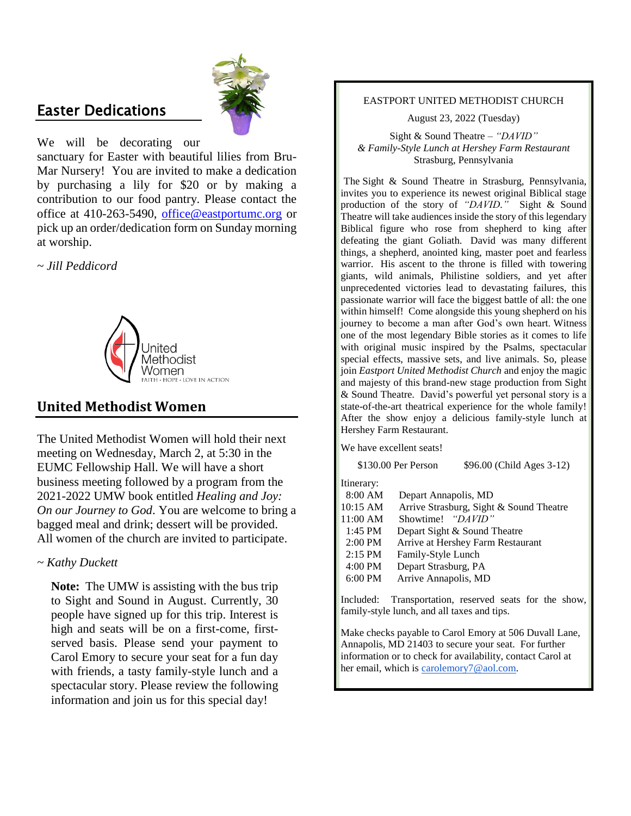### Easter Dedications



We will be decorating our

sanctuary for Easter with beautiful lilies from Bru-Mar Nursery! You are invited to make a dedication by purchasing a lily for \$20 or by making a contribution to our food pantry. Please contact the office at 410-263-5490, [office@eastportumc.org](mailto:office@eastportumc.org) or pick up an order/dedication form on Sunday morning at worship.

*~ Jill Peddicord*



### **United Methodist Women**

The United Methodist Women will hold their next meeting on Wednesday, March 2, at 5:30 in the EUMC Fellowship Hall. We will have a short business meeting followed by a program from the 2021-2022 UMW book entitled *Healing and Joy: On our Journey to God*. You are welcome to bring a bagged meal and drink; dessert will be provided. All women of the church are invited to participate.

### *~ Kathy Duckett*

**Note:** The UMW is assisting with the bus trip to Sight and Sound in August. Currently, 30 people have signed up for this trip. Interest is high and seats will be on a first-come, firstserved basis. Please send your payment to Carol Emory to secure your seat for a fun day with friends, a tasty family-style lunch and a spectacular story. Please review the following information and join us for this special day!

#### EASTPORT UNITED METHODIST CHURCH

August 23, 2022 (Tuesday)

Sight & Sound Theatre – *"DAVID" & Family-Style Lunch at Hershey Farm Restaurant* Strasburg, Pennsylvania

The Sight & Sound Theatre in Strasburg, Pennsylvania, invites you to experience its newest original Biblical stage production of the story of *"DAVID."* Sight & Sound Theatre will take audiences inside the story of this legendary Biblical figure who rose from shepherd to king after defeating the giant Goliath. David was many different things, a shepherd, anointed king, master poet and fearless warrior. His ascent to the throne is filled with towering giants, wild animals, Philistine soldiers, and yet after unprecedented victories lead to devastating failures, this passionate warrior will face the biggest battle of all: the one within himself! Come alongside this young shepherd on his journey to become a man after God's own heart. Witness one of the most legendary Bible stories as it comes to life with original music inspired by the Psalms, spectacular special effects, massive sets, and live animals. So, please join *Eastport United Methodist Church* and enjoy the magic and majesty of this brand-new stage production from Sight & Sound Theatre. David's powerful yet personal story is a state-of-the-art theatrical experience for the whole family! After the show enjoy a delicious family-style lunch at Hershey Farm Restaurant.

We have excellent seats!

|                                                                                                   | \$130.00 Per Person                                                                     | \$96.00 (Child Ages 3-12)                                         |
|---------------------------------------------------------------------------------------------------|-----------------------------------------------------------------------------------------|-------------------------------------------------------------------|
| Itinerary:<br>8:00 AM<br>10:15 AM                                                                 | Depart Annapolis, MD                                                                    | Arrive Strasburg, Sight & Sound Theatre                           |
| 11:00 AM<br>$1:45$ PM<br>$2:00 \text{ PM}$<br>$2:15$ PM<br>$4:00 \text{ PM}$<br>$6:00 \text{ PM}$ | Showtime! "DAVID"<br>Family-Style Lunch<br>Depart Strasburg, PA<br>Arrive Annapolis, MD | Depart Sight & Sound Theatre<br>Arrive at Hershey Farm Restaurant |

Included: Transportation, reserved seats for the show, family-style lunch, and all taxes and tips.

Make checks payable to Carol Emory at 506 Duvall Lane, Annapolis, MD 21403 to secure your seat. For further information or to check for availability, contact Carol at her email, which is [carolemory7@aol.com.](mailto:carolemory7@aol.com)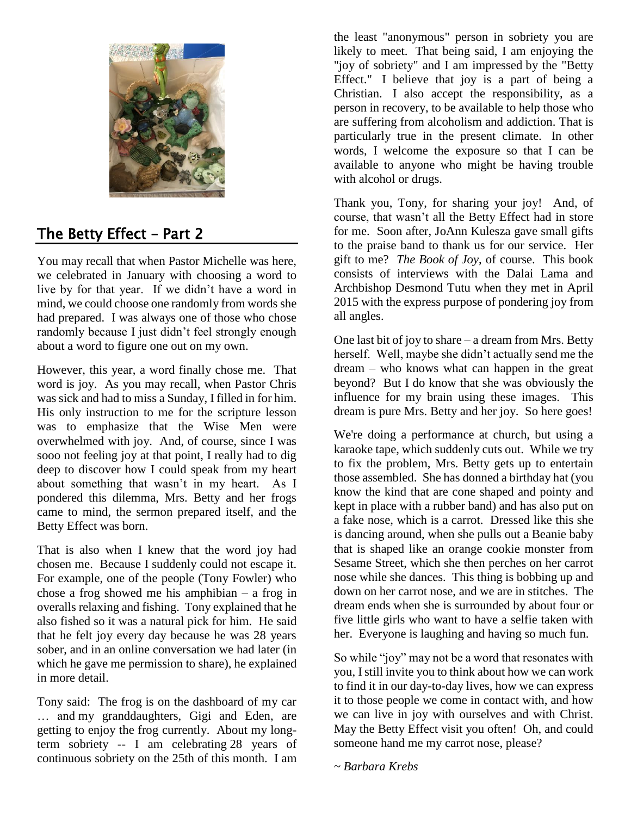

# The Betty Effect – Part 2

You may recall that when Pastor Michelle was here, we celebrated in January with choosing a word to live by for that year. If we didn't have a word in mind, we could choose one randomly from words she had prepared. I was always one of those who chose randomly because I just didn't feel strongly enough about a word to figure one out on my own.

However, this year, a word finally chose me. That word is joy. As you may recall, when Pastor Chris was sick and had to miss a Sunday, I filled in for him. His only instruction to me for the scripture lesson was to emphasize that the Wise Men were overwhelmed with joy. And, of course, since I was sooo not feeling joy at that point, I really had to dig deep to discover how I could speak from my heart about something that wasn't in my heart. As I pondered this dilemma, Mrs. Betty and her frogs came to mind, the sermon prepared itself, and the Betty Effect was born.

That is also when I knew that the word joy had chosen me. Because I suddenly could not escape it. For example, one of the people (Tony Fowler) who chose a frog showed me his amphibian – a frog in overalls relaxing and fishing. Tony explained that he also fished so it was a natural pick for him. He said that he felt joy every day because he was 28 years sober, and in an online conversation we had later (in which he gave me permission to share), he explained in more detail.

Tony said: The frog is on the dashboard of my car … and my granddaughters, Gigi and Eden, are getting to enjoy the frog currently. About my longterm sobriety -- I am celebrating 28 years of continuous sobriety on the 25th of this month. I am the least "anonymous" person in sobriety you are likely to meet. That being said, I am enjoying the "joy of sobriety" and I am impressed by the "Betty Effect." I believe that joy is a part of being a Christian. I also accept the responsibility, as a person in recovery, to be available to help those who are suffering from alcoholism and addiction. That is particularly true in the present climate. In other words, I welcome the exposure so that I can be available to anyone who might be having trouble with alcohol or drugs.

Thank you, Tony, for sharing your joy! And, of course, that wasn't all the Betty Effect had in store for me. Soon after, JoAnn Kulesza gave small gifts to the praise band to thank us for our service. Her gift to me? *The Book of Joy*, of course. This book consists of interviews with the Dalai Lama and Archbishop Desmond Tutu when they met in April 2015 with the express purpose of pondering joy from all angles.

One last bit of joy to share – a dream from Mrs. Betty herself. Well, maybe she didn't actually send me the dream – who knows what can happen in the great beyond? But I do know that she was obviously the influence for my brain using these images. This dream is pure Mrs. Betty and her joy. So here goes!

We're doing a performance at church, but using a karaoke tape, which suddenly cuts out. While we try to fix the problem, Mrs. Betty gets up to entertain those assembled. She has donned a birthday hat (you know the kind that are cone shaped and pointy and kept in place with a rubber band) and has also put on a fake nose, which is a carrot. Dressed like this she is dancing around, when she pulls out a Beanie baby that is shaped like an orange cookie monster from Sesame Street, which she then perches on her carrot nose while she dances. This thing is bobbing up and down on her carrot nose, and we are in stitches. The dream ends when she is surrounded by about four or five little girls who want to have a selfie taken with her. Everyone is laughing and having so much fun.

So while "joy" may not be a word that resonates with you, I still invite you to think about how we can work to find it in our day-to-day lives, how we can express it to those people we come in contact with, and how we can live in joy with ourselves and with Christ. May the Betty Effect visit you often! Oh, and could someone hand me my carrot nose, please?

*~ Barbara Krebs*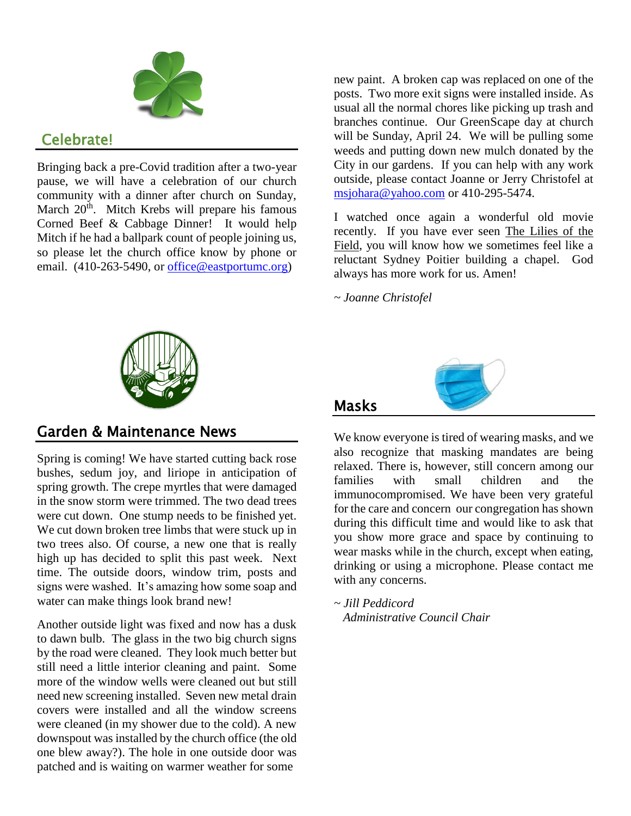

## Celebrate!

Bringing back a pre-Covid tradition after a two-year pause, we will have a celebration of our church community with a dinner after church on Sunday, March 20<sup>th</sup>. Mitch Krebs will prepare his famous Corned Beef & Cabbage Dinner! It would help Mitch if he had a ballpark count of people joining us, so please let the church office know by phone or email. (410-263-5490, or [office@eastportumc.org\)](mailto:office@eastportumc.org)



I watched once again a wonderful old movie recently. If you have ever seen The Lilies of the Field, you will know how we sometimes feel like a reluctant Sydney Poitier building a chapel. God always has more work for us. Amen!

*~ Joanne Christofel*

Masks



### Garden & Maintenance News

Spring is coming! We have started cutting back rose bushes, sedum joy, and liriope in anticipation of spring growth. The crepe myrtles that were damaged in the snow storm were trimmed. The two dead trees were cut down. One stump needs to be finished yet. We cut down broken tree limbs that were stuck up in two trees also. Of course, a new one that is really high up has decided to split this past week. Next time. The outside doors, window trim, posts and signs were washed. It's amazing how some soap and water can make things look brand new!

Another outside light was fixed and now has a dusk to dawn bulb. The glass in the two big church signs by the road were cleaned. They look much better but still need a little interior cleaning and paint. Some more of the window wells were cleaned out but still need new screening installed. Seven new metal drain covers were installed and all the window screens were cleaned (in my shower due to the cold). A new downspout was installed by the church office (the old one blew away?). The hole in one outside door was patched and is waiting on warmer weather for some



We know everyone is tired of wearing masks, and we also recognize that masking mandates are being relaxed. There is, however, still concern among our families with small children and the immunocompromised. We have been very grateful for the care and concern our congregation has shown during this difficult time and would like to ask that you show more grace and space by continuing to wear masks while in the church, except when eating, drinking or using a microphone. Please contact me with any concerns.

*~ Jill Peddicord Administrative Council Chair*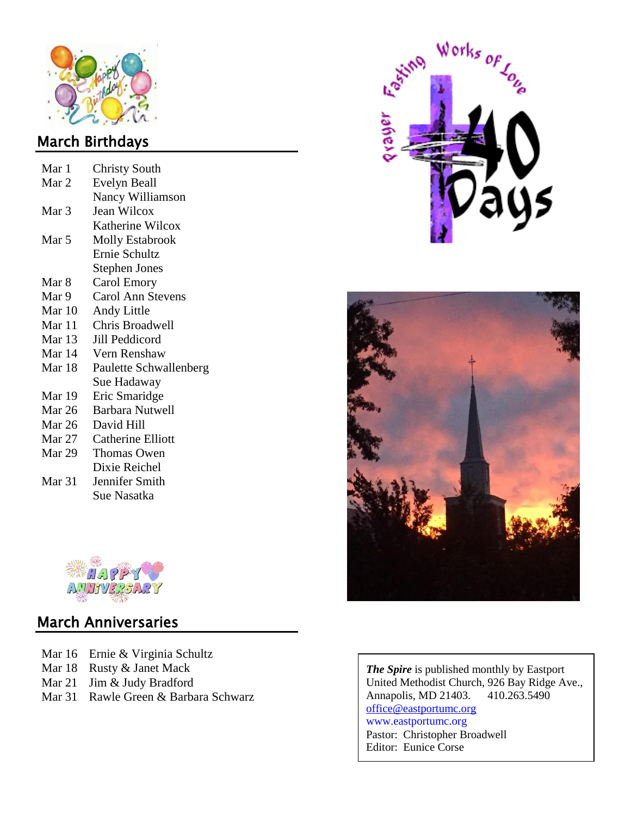

# March Birthdays

| Mar 1    | <b>Christy South</b>     |  |  |  |  |
|----------|--------------------------|--|--|--|--|
| Mar 2    | Evelyn Beall             |  |  |  |  |
|          | Nancy Williamson         |  |  |  |  |
| Mar 3    | Jean Wilcox              |  |  |  |  |
|          | Katherine Wilcox         |  |  |  |  |
| Mar 5    | <b>Molly Estabrook</b>   |  |  |  |  |
|          | Ernie Schultz            |  |  |  |  |
|          | <b>Stephen Jones</b>     |  |  |  |  |
| Mar 8    | Carol Emory              |  |  |  |  |
| Mar 9    | <b>Carol Ann Stevens</b> |  |  |  |  |
| Mar $10$ | Andy Little              |  |  |  |  |
| Mar 11   | Chris Broadwell          |  |  |  |  |
| Mar 13   | Jill Peddicord           |  |  |  |  |
| Mar 14   | Vern Renshaw             |  |  |  |  |
| Mar 18   | Paulette Schwallenberg   |  |  |  |  |
|          | Sue Hadaway              |  |  |  |  |
| Mar 19   | Eric Smaridge            |  |  |  |  |
| Mar 26   | <b>Barbara Nutwell</b>   |  |  |  |  |
| Mar 26   | David Hill               |  |  |  |  |
| Mar 27   | <b>Catherine Elliott</b> |  |  |  |  |
| Mar 29   | Thomas Owen              |  |  |  |  |
|          | Dixie Reichel            |  |  |  |  |
| Mar 31   | Jennifer Smith           |  |  |  |  |
|          | Sue Nasatka              |  |  |  |  |



# March Anniversaries

- Mar 16 Ernie & Virginia Schultz
- Mar 18 Rusty & Janet Mack
- Mar 21 Jim & Judy Bradford
- Mar 31 Rawle Green & Barbara Schwarz





*The Spire* is published monthly by Eastport United Methodist Church, 926 Bay Ridge Ave., Annapolis, MD 21403. 410.263.5490 [office@eastportumc.org](mailto:eastportumc@verizon.net) [www.eastportumc.org](http://www.eastportumc.org/) Pastor: Christopher Broadwell Editor: Eunice Corse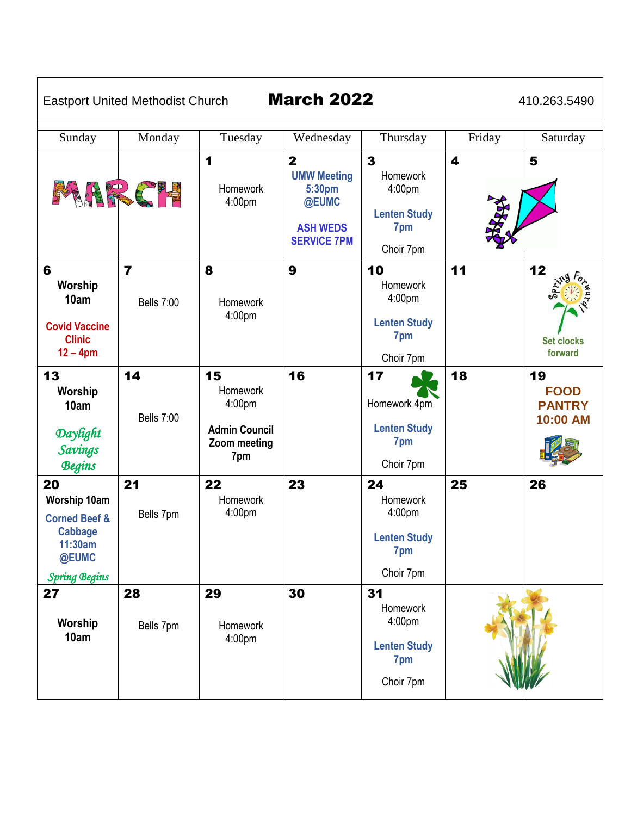Eastport United Methodist Church March 2022 410.263.5490

| Sunday                                                                                                              | Monday                                       | Tuesday                                                                        | Wednesday                                                                                                 | Thursday                                                                                        | Friday            | Saturday                                       |
|---------------------------------------------------------------------------------------------------------------------|----------------------------------------------|--------------------------------------------------------------------------------|-----------------------------------------------------------------------------------------------------------|-------------------------------------------------------------------------------------------------|-------------------|------------------------------------------------|
| MARC'E                                                                                                              |                                              | 1<br>Homework<br>4:00pm                                                        | $\overline{\mathbf{2}}$<br><b>UMW Meeting</b><br>5:30pm<br>@EUMC<br><b>ASH WEDS</b><br><b>SERVICE 7PM</b> | $\overline{\mathbf{3}}$<br><b>Homework</b><br>4:00pm<br><b>Lenten Study</b><br>7pm<br>Choir 7pm | 4<br><b>RANTA</b> | 5                                              |
| 6<br>Worship<br>10am<br><b>Covid Vaccine</b><br><b>Clinic</b><br>$12 - 4pm$                                         | $\overline{\mathbf{z}}$<br><b>Bells 7:00</b> | 8<br>Homework<br>4:00pm                                                        | 9                                                                                                         | 10<br>Homework<br>4:00 <sub>pm</sub><br><b>Lenten Study</b><br>7pm<br>Choir 7pm                 | 11                | 12<br><b>Set clocks</b><br>forward             |
| 13<br>Worship<br>10am<br>Daylight<br>Savings<br><b>Begins</b>                                                       | 14<br><b>Bells 7:00</b>                      | 15<br><b>Homework</b><br>4:00pm<br><b>Admin Council</b><br>Zoom meeting<br>7pm | 16                                                                                                        | 17<br>Homework 4pm<br><b>Lenten Study</b><br>7pm<br>Choir 7pm                                   | 18                | 19<br><b>FOOD</b><br><b>PANTRY</b><br>10:00 AM |
| 20<br><b>Worship 10am</b><br><b>Corned Beef &amp;</b><br><b>Cabbage</b><br>11:30am<br>@EUMC<br><b>Spring Begins</b> | 21<br>Bells 7pm                              | 22<br>Homework<br>4:00 <sub>pm</sub>                                           | 23                                                                                                        | 24<br>Homework<br>4:00 <sub>pm</sub><br><b>Lenten Study</b><br>7pm<br>Choir 7pm                 | 25                | 26                                             |
| 27<br>Worship<br>10am                                                                                               | 28<br>Bells 7pm                              | 29<br>Homework<br>4:00pm                                                       | 30                                                                                                        | 31<br>Homework<br>4:00pm<br><b>Lenten Study</b><br>7pm<br>Choir 7pm                             |                   |                                                |